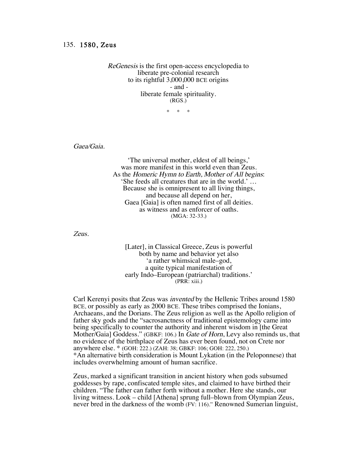## 135. 1580, Zeus

ReGenesis is the first open-access encyclopedia to liberate pre-colonial research to its rightful 3,000,000 BCE origins - and liberate female spirituality. (RGS.)

 $*$  \*

Gaea/Gaia.

'The universal mother, eldest of all beings,' was more manifest in this world even than Zeus. As the Homeric Hymn to Earth, Mother of All begins: 'She feeds all creatures that are in the world.' … Because she is omnipresent to all living things, and because all depend on her, Gaea [Gaia] is often named first of all deities. as witness and as enforcer of oaths. (MGA: 32-33.)

Zeus.

[Later], in Classical Greece, Zeus is powerful both by name and behavior yet also 'a rather whimsical male–god, a quite typical manifestation of early Indo–European (patriarchal) traditions.' (PRR: xiii.)

Carl Kerenyi posits that Zeus was invented by the Hellenic Tribes around 1580 BCE, or possibly as early as 2000 BCE. These tribes comprised the Ionians, Archaeans, and the Dorians. The Zeus religion as well as the Apollo religion of father sky gods and the "sacrosanctness of traditional epistemology came into being specifically to counter the authority and inherent wisdom in [the Great Mother/Gaia] Goddess." (GBKF: 106.) In *Gate of Horn*, Levy also reminds us, that no evidence of the birthplace of Zeus has ever been found, not on Crete nor anywhere else. \* (GOH: 222.) (ZAH: 38; GBKF: 106; GOH: 222, 250.) \*An alternative birth consideration is Mount Lykation (in the Peloponnese) that includes overwhelming amount of human sacrifice.

Zeus, marked a significant transition in ancient history when gods subsumed goddesses by rape, confiscated temple sites, and claimed to have birthed their children. "The father can father forth without a mother. Here she stands, our living witness. Look – child [Athena] sprung full–blown from Olympian Zeus, never bred in the darkness of the womb (FV: 116)." Renowned Sumerian linguist,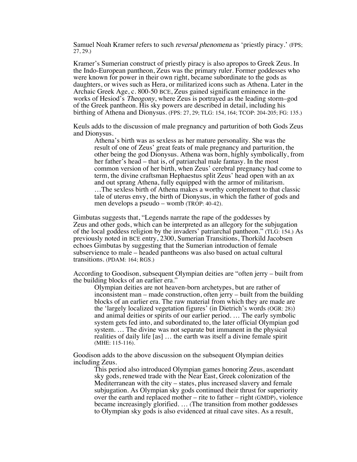Samuel Noah Kramer refers to such *reversal phenomena* as 'priestly piracy.' (FPS; 27, 29.)

Kramer's Sumerian construct of priestly piracy is also apropos to Greek Zeus. In the Indo-European pantheon, Zeus was the primary ruler. Former goddesses who were known for power in their own right, became subordinate to the gods as daughters, or wives such as Hera, or militarized icons such as Athena. Later in the Archaic Greek Age, c. 800-50 BCE, Zeus gained significant eminence in the works of Hesiod's Theogony, where Zeus is portrayed as the leading storm–god of the Greek pantheon. His sky powers are described in detail, including his birthing of Athena and Dionysus. (FPS: 27, 29; TLG: 154, 164; TCOP: 204-205; FG: 135.)

Keuls adds to the discussion of male pregnancy and parturition of both Gods Zeus and Dionysus.

Athena's birth was as sexless as her mature personality. She was the result of one of Zeus' great feats of male pregnancy and parturition, the other being the god Dionysus. Athena was born, highly symbolically, from her father's head – that is, of patriarchal male fantasy. In the most common version of her birth, when Zeus' cerebral pregnancy had come to term, the divine craftsman Hephaestus split Zeus' head open with an ax and out sprang Athena, fully equipped with the armor of militarism. …The sexless birth of Athena makes a worthy complement to that classic tale of uterus envy, the birth of Dionysus, in which the father of gods and men develops a pseudo – womb (TROP: 40-42).

Gimbutas suggests that, "Legends narrate the rape of the goddesses by Zeus and other gods, which can be interpreted as an allegory for the subjugation of the local goddess religion by the invaders' patriarchal pantheon." (TLG: 154.) As previously noted in BCE entry, 2300, Sumerian Transitions, Thorkild Jacobsen echoes Gimbutas by suggesting that the Sumerian introduction of female subservience to male – headed pantheons was also based on actual cultural transitions. (PDAM: 164; RGS.)

According to Goodison, subsequent Olympian deities are "often jerry – built from the building blocks of an earlier era."

Olympian deities are not heaven-born archetypes, but are rather of inconsistent man – made construction, often jerry – built from the building blocks of an earlier era. The raw material from which they are made are the 'largely localized vegetation figures' (in Dietrich's words (OGR: 28)) and animal deities or spirits of our earlier period. … The early symbolic system gets fed into, and subordinated to, the later official Olympian god system. … The divine was not separate but immanent in the physical realities of daily life [as] … the earth was itself a divine female spirit (MHE: 115-116).

Goodison adds to the above discussion on the subsequent Olympian deities including Zeus.

This period also introduced Olympian games honoring Zeus, ascendant sky gods, renewed trade with the Near East, Greek colonization of the Mediterranean with the city – states, plus increased slavery and female subjugation. As Olympian sky gods continued their thrust for superiority over the earth and replaced mother – rite to father – right (GMDP), violence became increasingly glorified. … (The transition from mother goddesses to Olympian sky gods is also evidenced at ritual cave sites. As a result,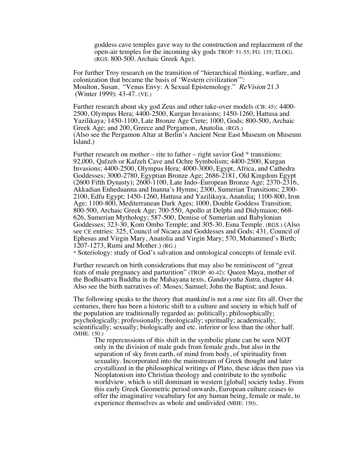goddess cave temples gave way to the construction and replacement of the open-air temples for the incoming sky gods TROP: 51-55; FG: 135; TLOG). (RGS: 800-500, Archaic Greek Age).

For further Troy research on the transition of "hierarchical thinking, warfare, and colonization that became the basis of 'Western civilization'": Moulton, Susan. "Venus Envy: A Sexual Epistemology." ReVision 21.3 (Winter 1999): 43-47. (VE.)

Further research about sky god Zeus and other take-over models (CB: 45): 4400- 2500, Olympus Hera; 4400-2500, Kurgan Invasions; 1450-1260, Hattusa and Yazilikaya; 1450-1100, Late Bronze Age Crete; 1000, Gods; 800-500, Archaic Greek Age; and 200, Greece and Pergamon, Anatolia. (RGS.) (Also see the Pergamon Altar at Berlin's Ancient Near East Museum on Museum Island.)

Further research on mother – rite to father – right savior God  $*$  transitions: 92,000, Qafzeh or Kafzeh Cave and Ochre Symbolism; 4400-2500, Kurgan Invasions; 4400-2500, Olympus Hera; 4000-3000, Egypt, Africa, and Cathedra Goddesses; 3000-2780, Egyptian Bronze Age; 2686-2181, Old Kingdom Egypt (2600 Fifth Dynasty); 2600-1100, Late Indo–European Bronze Age; 2370-2316, Akkadian Enheduanna and Inanna's Hymns; 2300, Sumerian Transitions; 2300- 2100, Edfu Egypt; 1450-1260, Hattusa and Yazilikaya, Anatolia; 1100-800, Iron Age; 1100-800, Mediterranean Dark Ages; 1000, Double Goddess Transition; 800-500, Archaic Greek Age; 700-550, Apollo at Delphi and Didymaion; 668- 626, Sumerian Mythology; 587-500, Demise of Sumerian and Babylonian Goddesses; 323-30, Kom Ombo Temple; and 305-30, Esna Temple. (RGS.) (Also see CE entries: 325, Council of Nicaea and Goddesses and Gods; 431, Council of Ephesus and Virgin Mary, Anatolia and Virgin Mary; 570, Mohammed's Birth; 1207-1273, Rumi and Mother.) (RG.)

\* Soteriology: study of God's salvation and ontological concepts of female evil.

Further research on birth considerations that may also be reminiscent of "great feats of male pregnancy and parturition" (TROP: 40-42): Queen Maya, mother of the Bodhisattva Buddha in the Mahayana texts, Gandavyuha Sutra, chapter 44. Also see the birth narratives of: Moses; Samuel; John the Baptist; and Jesus.

The following speaks to the theory that mankind is not a one size fits all. Over the centuries, there has been a historic shift to a culture and society in which half of the population are traditionally regarded as: politically; philosophically; psychologically; professionally; theologically; spiritually; academically; scientifically; sexually; biologically and etc. inferior or less than the other half. (MHE: 150.)

The repercussions of this shift in the symbolic plane can be seen NOT only in the division of male gods from female gods, but also in the separation of sky from earth, of mind from body, of spirituality from sexuality. Incorporated into the mainstream of Greek thought and later crystallized in the philosophical writings of Plato, these ideas then pass via Neoplatonism into Christian theology and contribute to the symbolic worldview, which is still dominant in western [global] society today. From this early Greek Geometric period onwards, European culture ceases to offer the imaginative vocabulary for any human being, female or male, to experience themselves as whole and undivided (MHE: 150).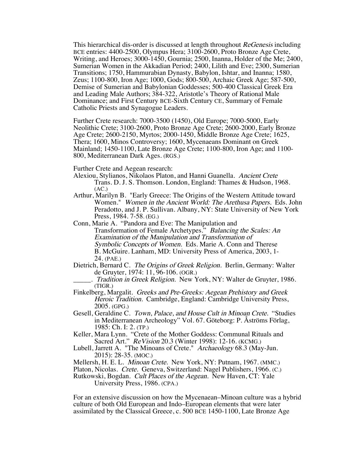This hierarchical dis-order is discussed at length throughout ReGenesis including BCE entries: 4400-2500, Olympus Hera; 3100-2600, Proto Bronze Age Crete, Writing, and Heroes; 3000-1450, Gournia; 2500, Inanna, Holder of the Me; 2400, Sumerian Women in the Akkadian Period; 2400, Lilith and Eve; 2300, Sumerian Transitions; 1750, Hammurabian Dynasty, Babylon, Ishtar, and Inanna; 1580, Zeus; 1100-800, Iron Age; 1000, Gods; 800-500, Archaic Greek Age; 587-500, Demise of Sumerian and Babylonian Goddesses; 500-400 Classical Greek Era and Leading Male Authors; 384-322, Aristotle's Theory of Rational Male Dominance; and First Century BCE-Sixth Century CE, Summary of Female Catholic Priests and Synagogue Leaders.

Further Crete research: 7000-3500 (1450), Old Europe; 7000-5000, Early Neolithic Crete; 3100-2600, Proto Bronze Age Crete; 2600-2000, Early Bronze Age Crete; 2600-2150, Myrtos; 2000-1450, Middle Bronze Age Crete; 1625, Thera; 1600, Minos Controversy; 1600, Mycenaeans Dominant on Greek Mainland; 1450-1100, Late Bronze Age Crete; 1100-800, Iron Age; and 1100- 800, Mediterranean Dark Ages. (RGS.)

Further Crete and Aegean research:

- Alexiou, Stylianos, Nikolaos Platon, and Hanni Guanella. Ancient Crete Trans. D. J. S. Thomson. London, England: Thames & Hudson, 1968.  $(AC.)$
- Arthur, Marilyn B. "Early Greece: The Origins of the Western Attitude toward Women." Women in the Ancient World: The Arethusa Papers. Eds. John Peradotto, and J. P. Sullivan. Albany, NY: State University of New York Press, 1984. 7-58. (EG.)
- Conn, Marie A. "Pandora and Eve: The Manipulation and Transformation of Female Archetypes." Balancing the Scales: An Examination of the Manipulation and Transformation of Symbolic Concepts of Women. Eds. Marie A. Conn and Therese B. McGuire. Lanham, MD: University Press of America, 2003, 1- 24. (PAE.)
- Dietrich, Bernard C. The Origins of Greek Religion. Berlin, Germany: Walter de Gruyter, 1974: 11, 96-106. (OGR.)
	- . Tradition in Greek Religion. New York, NY: Walter de Gruyter, 1986. (TIGR.)
- Finkelberg, Margalit. Greeks and Pre-Greeks: Aegean Prehistory and Greek Heroic Tradition. Cambridge, England: Cambridge University Press, 2005. (GPG.)
- Gesell, Geraldine C. Town, Palace, and House Cult in Minoan Crete. "Studies in Mediterranean Archeology" Vol. 67. Göteborg: P. Åströms Förlag, 1985: Ch. I: 2. (TP.)
- Keller, Mara Lynn. "Crete of the Mother Goddess: Communal Rituals and Sacred Art." ReVision 20.3 (Winter 1998): 12-16. (KCMG.)
- Lubell, Jarrett A. "The Minoans of Crete." Archaeology 68.3 (May-Jun. 2015): 28-35. (MOC.)
- Mellersh, H. E. L. Minoan Crete. New York, NY: Putnam, 1967. (MMC.)

University Press, 1986. (CPA.)

For an extensive discussion on how the Mycenaean–Minoan culture was a hybrid culture of both Old European and Indo–European elements that were later assimilated by the Classical Greece, c. 500 BCE 1450-1100, Late Bronze Age

Platon, Nicolas. Crete. Geneva, Switzerland: Nagel Publishers, 1966. (C.) Rutkowski, Bogdan. Cult Places of the Aegean. New Haven, CT: Yale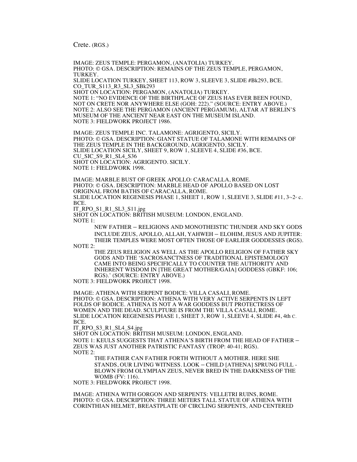Crete. (RGS.)

IMAGE: ZEUS TEMPLE: PERGAMON, (ANATOLIA) TURKEY. PHOTO: © GSA. DESCRIPTION: REMAINS OF THE ZEUS TEMPLE, PERGAMON, TURKEY. SLIDE LOCATION TURKEY, SHEET 113, ROW 3, SLEEVE 3, SLIDE #Bk293, BCE. CO\_TUR\_S113\_R3\_SL3\_SBk293 SHOT ON LOCATION: PERGAMON, (ANATOLIA) TURKEY. NOTE 1: "NO EVIDENCE OF THE BIRTHPLACE OF ZEUS HAS EVER BEEN FOUND, NOT ON CRETE NOR ANYWHERE ELSE (GOH: 222)." (SOURCE: ENTRY ABOVE.) NOTE 2: ALSO SEE THE PERGAMON (ANCIENT PERGAMUM), ALTAR AT BERLIN'S MUSEUM OF THE ANCIENT NEAR EAST ON THE MUSEUM ISLAND. NOTE 3: FIELDWORK PROJECT 1986. IMAGE: ZEUS TEMPLE INC. TALAMONE: AGRIGENTO, SICILY. PHOTO: © GSA. DESCRIPTION: GIANT STATUE OF TALAMONE WITH REMAINS OF THE ZEUS TEMPLE IN THE BACKGROUND, AGRIGENTO, SICILY. SLIDE LOCATION SICILY, SHEET 9, ROW 1, SLEEVE 4, SLIDE #36, BCE. CU\_SIC\_S9\_R1\_SL4\_S36 SHOT ON LOCATION: AGRIGENTO. SICILY. NOTE 1: FIELDWORK 1998. IMAGE: MARBLE BUST OF GREEK APOLLO: CARACALLA, ROME. PHOTO: © GSA. DESCRIPTION: MARBLE HEAD OF APOLLO BASED ON LOST ORIGINAL FROM BATHS OF CARACALLA, ROME. SLIDE LOCATION REGENESIS PHASE 1, SHEET 1, ROW 1, SLEEVE 3, SLIDE #11,  $3-2-a$  c. BCE. IT\_RPO\_S1\_R1\_SL3\_S11.jpg SHOT ON LOCATION: BRITISH MUSEUM: LONDON, ENGLAND.

NOTE 1:

NEW FATHER – RELIGIONS AND MONOTHEISTIC THUNDER AND SKY GODS INCLUDE ZEUS, APOLLO, ALLAH, YAHWEH – ELOHIM, JESUS AND JUPITER: THEIR TEMPLES WERE MOST OFTEN THOSE OF EARLIER GODDESSES (RGS). NOTE 2:

THE ZEUS RELIGION AS WELL AS THE APOLLO RELIGION OF FATHER SKY GODS AND THE 'SACROSANCTNESS OF TRADITIONAL EPISTEMOLOGY CAME INTO BEING SPECIFICALLY TO COUNTER THE AUTHORITY AND INHERENT WISDOM IN [THE GREAT MOTHER/GAIA] GODDESS (GBKF: 106; RGS).' (SOURCE: ENTRY ABOVE.)

NOTE 3: FIELDWORK PROJECT 1998.

IMAGE: ATHENA WITH SERPENT BODICE: VILLA CASALI, ROME. PHOTO: © GSA. DESCRIPTION: ATHENA WITH VERY ACTIVE SERPENTS IN LEFT FOLDS OF BODICE. ATHENA IS NOT A WAR GODDESS BUT PROTECTRESS OF WOMEN AND THE DEAD. SCULPTURE IS FROM THE VILLA CASALI, ROME. SLIDE LOCATION REGENESIS PHASE 1, SHEET 3, ROW 1, SLEEVE 4, SLIDE #4, 4th C. BCE.

IT\_RPO\_S3\_R1\_SL4\_S4.jpg

SHOT ON LOCATION: BRITISH MUSEUM: LONDON, ENGLAND.

NOTE 1: KEULS SUGGESTS THAT ATHENA'S BIRTH FROM THE HEAD OF FATHER – ZEUS WAS JUST ANOTHER PATRISTIC FANTASY (TROP: 40-41; RGS). NOTE 2:

THE FATHER CAN FATHER FORTH WITHOUT A MOTHER. HERE SHE STANDS, OUR LIVING WITNESS. LOOK – CHILD [ATHENA] SPRUNG FULL - BLOWN FROM OLYMPIAN ZEUS, NEVER BRED IN THE DARKNESS OF THE WOMB (FV: 116).

NOTE 3: FIELDWORK PROJECT 1998.

IMAGE: ATHENA WITH GORGON AND SERPENTS: VELLETRI RUINS, ROME. PHOTO: © GSA. DESCRIPTION: THREE METERS TALL STATUE OF ATHENA WITH CORINTHIAN HELMET, BREASTPLATE OF CIRCLING SERPENTS, AND CENTERED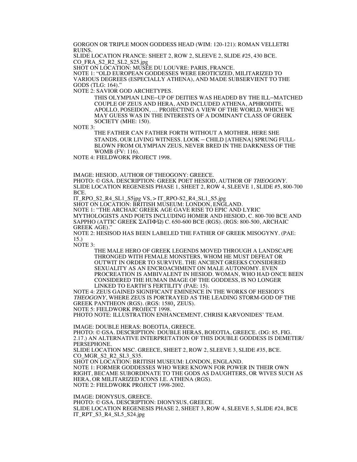GORGON OR TRIPLE MOON GODDESS HEAD (WIM: 120-121): ROMAN VELLETRI RUINS.

SLIDE LOCATION FRANCE: SHEET 2, ROW 2, SLEEVE 2, SLIDE #25, 430 BCE. CO\_FRA\_S2\_R2\_SL2\_S25.jpg

SHOT ON LOCATION: MUSÉE DU LOUVRE: PARIS, FRANCE.

NOTE 1: "OLD EUROPEAN GODDESSES WERE EROTICIZED, MILITARIZED TO VARIOUS DEGREES (ESPECIALLY ATHENA), AND MADE SUBSERVIENT TO THE GODS (TLG: 164)."

NOTE 2: SAVIOR GOD ARCHETYPES.

THIS OLYMPIAN LINE–UP OF DEITIES WAS HEADED BY THE ILL–MATCHED COUPLE OF ZEUS AND HERA, AND INCLUDED ATHENA, APHRODITE, APOLLO, POSEIDON, … PROJECTING A VIEW OF THE WORLD, WHICH WE MAY GUESS WAS IN THE INTERESTS OF A DOMINANT CLASS OF GREEK SOCIETY (MHE: 150).

NOTE 3:

THE FATHER CAN FATHER FORTH WITHOUT A MOTHER. HERE SHE STANDS, OUR LIVING WITNESS. LOOK – CHILD [ATHENA] SPRUNG FULL-BLOWN FROM OLYMPIAN ZEUS, NEVER BRED IN THE DARKNESS OF THE WOMB (FV: 116).

NOTE 4: FIELDWORK PROJECT 1998.

IMAGE: HESIOD, AUTHOR OF THEOGONY: GREECE.

PHOTO: © GSA. DESCRIPTION: GREEK POET HESIOD, AUTHOR OF THEOGONY. SLIDE LOCATION REGENESIS PHASE 1, SHEET 2, ROW 4, SLEEVE 1, SLIDE #5, 800-700 BCE.

IT\_RPO\_S2\_R4\_SL1\_S5jpg VS, > IT\_RPO-S2\_R4\_SL1\_S5.jpg

SHOT ON LOCATION: BRITISH MUSEUM: LONDON, ENGLAND. NOTE 1: "THE ARCHAIC GREEK AGE GAVE RISE TO EPIC AND LYRIC MYTHOLOGISTS AND POETS INCLUDING HOMER AND HESIOD, C. 800-700 BCE AND SAPPHO (ATTIC GREEK ΣΑΠΦΏ) C. 650-600 BCE (RGS). (RGS: 800-500, ARCHAIC GREEK AGE).'

NOTE 2: HESISOD HAS BEEN LABELED THE FATHER OF GREEK MISOGYNY. (PAE: 15.)

NOTE 3:

THE MALE HERO OF GREEK LEGENDS MOVED THROUGH A LANDSCAPE THRONGED WITH FEMALE MONSTERS, WHOM HE MUST DEFEAT OR OUTWIT IN ORDER TO SURVIVE. THE ANCIENT GREEKS CONSIDERED SEXUALITY AS AN ENCROACHMENT ON MALE AUTONOMY. EVEN PROCREATION IS AMBIVALENT IN HESIOD. WOMAN, WHO HAD ONCE BEEN CONSIDERED THE HUMAN IMAGE OF THE GODDESS, IS NO LONGER LINKED TO EARTH'S FERTILITY (PAE: 15).

NOTE 4: ZEUS GAINED SIGNIFICANT EMINENCE IN THE WORKS OF HESIOD'S THEOGONY, WHERE ZEUS IS PORTRAYED AS THE LEADING STORM-GOD OF THE GREEK PANTHEON (RGS). (RGS: 1580, ZEUS).

NOTE 5: FIELDWORK PROJECT 1998.

PHOTO NOTE: ILLUSTRATION ENHANCEMENT, CHRISI KARVONIDES' TEAM.

IMAGE: DOUBLE HERAS: BOEOTIA, GREECE.

PHOTO: © GSA. DESCRIPTION: DOUBLE HERAS, BOEOTIA, GREECE. (DG: 85, FIG. 2.17.) AN ALTERNATIVE INTERPRETATION OF THIS DOUBLE GODDESS IS DEMETER/ PERSEPHONE.

SLIDE LOCATION MSC. GREECE, SHEET 2, ROW 2, SLEEVE 3, SLIDE #35, BCE. CO\_MGR\_S2\_R2\_SL3\_S35.

SHOT ON LOCATION: BRITISH MUSEUM: LONDON, ENGLAND.

NOTE 1: FORMER GODDESSES WHO WERE KNOWN FOR POWER IN THEIR OWN RIGHT, BECAME SUBORDINATE TO THE GODS AS DAUGHTERS, OR WIVES SUCH AS HERA, OR MILITARIZED ICONS I.E. ATHENA (RGS). NOTE 2: FIELDWORK PROJECT 1998-2002.

IMAGE: DIONYSUS, GREECE. PHOTO: © GSA. DESCRIPTION: DIONYSUS, GREECE. SLIDE LOCATION REGENESIS PHASE 2, SHEET 3, ROW 4, SLEEVE 5, SLIDE #24, BCE IT\_RPT\_S3\_R4\_SL5\_S24.jpg